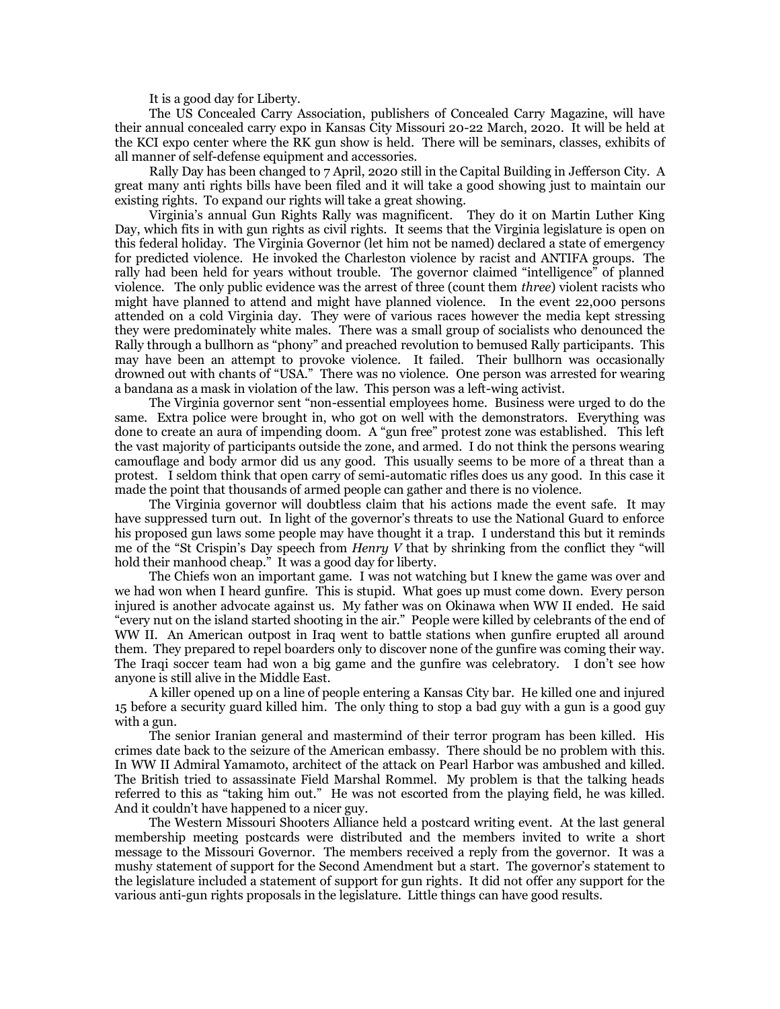It is a good day for Liberty.

The US Concealed Carry Association, publishers of Concealed Carry Magazine, will have their annual concealed carry expo in Kansas City Missouri 20-22 March, 2020. It will be held at the KCI expo center where the RK gun show is held. There will be seminars, classes, exhibits of all manner of self-defense equipment and accessories.

Rally Day has been changed to 7 April, 2020 still in the Capital Building in Jefferson City. A great many anti rights bills have been filed and it will take a good showing just to maintain our existing rights. To expand our rights will take a great showing.

Virginia's annual Gun Rights Rally was magnificent. They do it on Martin Luther King Day, which fits in with gun rights as civil rights. It seems that the Virginia legislature is open on this federal holiday. The Virginia Governor (let him not be named) declared a state of emergency for predicted violence. He invoked the Charleston violence by racist and ANTIFA groups. The rally had been held for years without trouble. The governor claimed "intelligence" of planned violence. The only public evidence was the arrest of three (count them *three*) violent racists who might have planned to attend and might have planned violence. In the event 22,000 persons attended on a cold Virginia day. They were of various races however the media kept stressing they were predominately white males. There was a small group of socialists who denounced the Rally through a bullhorn as "phony" and preached revolution to bemused Rally participants. This may have been an attempt to provoke violence. It failed. Their bullhorn was occasionally drowned out with chants of "USA." There was no violence. One person was arrested for wearing a bandana as a mask in violation of the law. This person was a left-wing activist.

The Virginia governor sent "non-essential employees home. Business were urged to do the same. Extra police were brought in, who got on well with the demonstrators. Everything was done to create an aura of impending doom. A "gun free" protest zone was established. This left the vast majority of participants outside the zone, and armed. I do not think the persons wearing camouflage and body armor did us any good. This usually seems to be more of a threat than a protest. I seldom think that open carry of semi-automatic rifles does us any good. In this case it made the point that thousands of armed people can gather and there is no violence.

The Virginia governor will doubtless claim that his actions made the event safe. It may have suppressed turn out. In light of the governor's threats to use the National Guard to enforce his proposed gun laws some people may have thought it a trap. I understand this but it reminds me of the "St Crispin's Day speech from *Henry V* that by shrinking from the conflict they "will hold their manhood cheap." It was a good day for liberty.

The Chiefs won an important game. I was not watching but I knew the game was over and we had won when I heard gunfire. This is stupid. What goes up must come down. Every person injured is another advocate against us. My father was on Okinawa when WW II ended. He said "every nut on the island started shooting in the air." People were killed by celebrants of the end of WW II. An American outpost in Iraq went to battle stations when gunfire erupted all around them. They prepared to repel boarders only to discover none of the gunfire was coming their way. The Iraqi soccer team had won a big game and the gunfire was celebratory. I don't see how anyone is still alive in the Middle East.

A killer opened up on a line of people entering a Kansas City bar. He killed one and injured 15 before a security guard killed him. The only thing to stop a bad guy with a gun is a good guy with a gun.

The senior Iranian general and mastermind of their terror program has been killed. His crimes date back to the seizure of the American embassy. There should be no problem with this. In WW II Admiral Yamamoto, architect of the attack on Pearl Harbor was ambushed and killed. The British tried to assassinate Field Marshal Rommel. My problem is that the talking heads referred to this as "taking him out." He was not escorted from the playing field, he was killed. And it couldn't have happened to a nicer guy.

The Western Missouri Shooters Alliance held a postcard writing event. At the last general membership meeting postcards were distributed and the members invited to write a short message to the Missouri Governor. The members received a reply from the governor. It was a mushy statement of support for the Second Amendment but a start. The governor's statement to the legislature included a statement of support for gun rights. It did not offer any support for the various anti-gun rights proposals in the legislature. Little things can have good results.